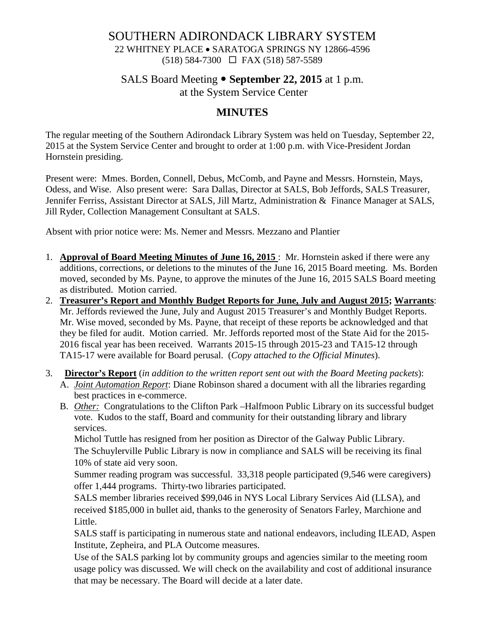# SOUTHERN ADIRONDACK LIBRARY SYSTEM 22 WHITNEY PLACE • SARATOGA SPRINGS NY 12866-4596

(518) 584-7300 FAX (518) 587-5589

# SALS Board Meeting **September 22, 2015** at 1 p.m.

at the System Service Center

### **MINUTES**

The regular meeting of the Southern Adirondack Library System was held on Tuesday, September 22, 2015 at the System Service Center and brought to order at 1:00 p.m. with Vice-President Jordan Hornstein presiding.

Present were: Mmes. Borden, Connell, Debus, McComb, and Payne and Messrs. Hornstein, Mays, Odess, and Wise. Also present were: Sara Dallas, Director at SALS, Bob Jeffords, SALS Treasurer, Jennifer Ferriss, Assistant Director at SALS, Jill Martz, Administration & Finance Manager at SALS, Jill Ryder, Collection Management Consultant at SALS.

Absent with prior notice were: Ms. Nemer and Messrs. Mezzano and Plantier

- 1. **Approval of Board Meeting Minutes of June 16, 2015** : Mr. Hornstein asked if there were any additions, corrections, or deletions to the minutes of the June 16, 2015 Board meeting. Ms. Borden moved, seconded by Ms. Payne, to approve the minutes of the June 16, 2015 SALS Board meeting as distributed. Motion carried.
- 2. **Treasurer's Report and Monthly Budget Reports for June, July and August 2015; Warrants**: Mr. Jeffords reviewed the June, July and August 2015 Treasurer's and Monthly Budget Reports. Mr. Wise moved, seconded by Ms. Payne, that receipt of these reports be acknowledged and that they be filed for audit. Motion carried. Mr. Jeffords reported most of the State Aid for the 2015- 2016 fiscal year has been received. Warrants 2015-15 through 2015-23 and TA15-12 through TA15-17 were available for Board perusal. (*Copy attached to the Official Minutes*).
- 3. **Director's Report** (*in addition to the written report sent out with the Board Meeting packets*):
	- A. *Joint Automation Report*: Diane Robinson shared a document with all the libraries regarding best practices in e-commerce.
	- B. *Other:* Congratulations to the Clifton Park –Halfmoon Public Library on its successful budget vote. Kudos to the staff, Board and community for their outstanding library and library services.

Michol Tuttle has resigned from her position as Director of the Galway Public Library. The Schuylerville Public Library is now in compliance and SALS will be receiving its final 10% of state aid very soon.

Summer reading program was successful. 33,318 people participated (9,546 were caregivers) offer 1,444 programs. Thirty-two libraries participated.

SALS member libraries received \$99,046 in NYS Local Library Services Aid (LLSA), and received \$185,000 in bullet aid, thanks to the generosity of Senators Farley, Marchione and Little.

SALS staff is participating in numerous state and national endeavors, including ILEAD, Aspen Institute, Zepheira, and PLA Outcome measures.

Use of the SALS parking lot by community groups and agencies similar to the meeting room usage policy was discussed. We will check on the availability and cost of additional insurance that may be necessary. The Board will decide at a later date.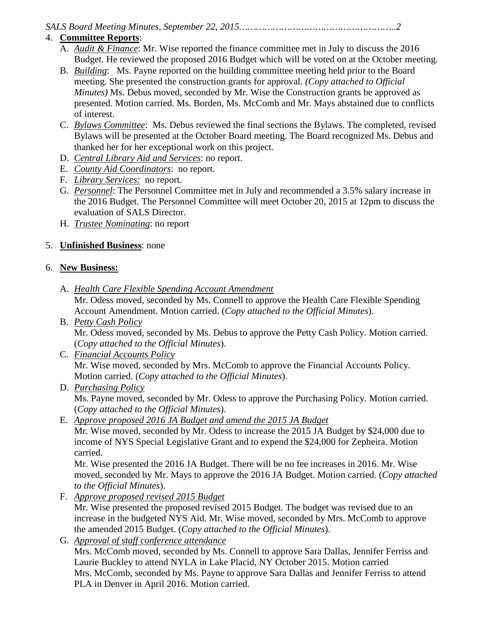# *SALS Board Meeting Minutes, September 22, 2015………………………………………………..2*

### 4. **Committee Reports**:

- A. *Audit & Finance*: Mr. Wise reported the finance committee met in July to discuss the 2016 Budget. He reviewed the proposed 2016 Budget which will be voted on at the October meeting.
- B. *Building*: Ms. Payne reported on the building committee meeting held prior to the Board meeting. She presented the construction grants for approval. *(Copy attached to Official Minutes)* Ms. Debus moved, seconded by Mr. Wise the Construction grants be approved as presented. Motion carried. Ms. Borden, Ms. McComb and Mr. Mays abstained due to conflicts of interest.
- C. *Bylaws Committee*: Ms. Debus reviewed the final sections the Bylaws. The completed, revised Bylaws will be presented at the October Board meeting. The Board recognized Ms. Debus and thanked her for her exceptional work on this project.
- D. *Central Library Aid and Services*: no report.
- E. *County Aid Coordinators*: no report.
- F. *Library Services:* no report.
- G. *Personnel*: The Personnel Committee met in July and recommended a 3.5% salary increase in the 2016 Budget. The Personnel Committee will meet October 20, 2015 at 12pm to discuss the evaluation of SALS Director.
- H. *Trustee Nominating*: no report

## 5. **Unfinished Business**: none

## 6. **New Business:**

- A. *Health Care Flexible Spending Account Amendment*  Mr. Odess moved, seconded by Ms. Connell to approve the Health Care Flexible Spending Account Amendment. Motion carried. (*Copy attached to the Official Minutes*).
- B. *Petty Cash Policy* Mr. Odess moved, seconded by Ms. Debus to approve the Petty Cash Policy. Motion carried. (*Copy attached to the Official Minutes*).
- C. *Financial Accounts Policy* Mr. Wise moved, seconded by Mrs. McComb to approve the Financial Accounts Policy. Motion carried. (*Copy attached to the Official Minutes*).
- D. *Purchasing Policy* Ms. Payne moved, seconded by Mr. Odess to approve the Purchasing Policy. Motion carried. (*Copy attached to the Official Minutes*).
- E. *Approve proposed 2016 JA Budget and amend the 2015 JA Budget*

Mr. Wise moved, seconded by Mr. Odess to increase the 2015 JA Budget by \$24,000 due to income of NYS Special Legislative Grant and to expend the \$24,000 for Zepheira. Motion carried.

Mr. Wise presented the 2016 JA Budget. There will be no fee increases in 2016. Mr. Wise moved, seconded by Mr. Mays to approve the 2016 JA Budget. Motion carried. (*Copy attached to the Official Minutes*).

F. *Approve proposed revised 2015 Budget*

Mr. Wise presented the proposed revised 2015 Budget. The budget was revised due to an increase in the budgeted NYS Aid. Mr. Wise moved, seconded by Mrs. McComb to approve the amended 2015 Budget. (*Copy attached to the Official Minutes*).

G. *Approval of staff conference attendance*

Mrs. McComb moved, seconded by Ms. Connell to approve Sara Dallas, Jennifer Ferriss and Laurie Buckley to attend NYLA in Lake Placid, NY October 2015. Motion carried Mrs. McComb, seconded by Ms. Payne to approve Sara Dallas and Jennifer Ferriss to attend PLA in Denver in April 2016. Motion carried.